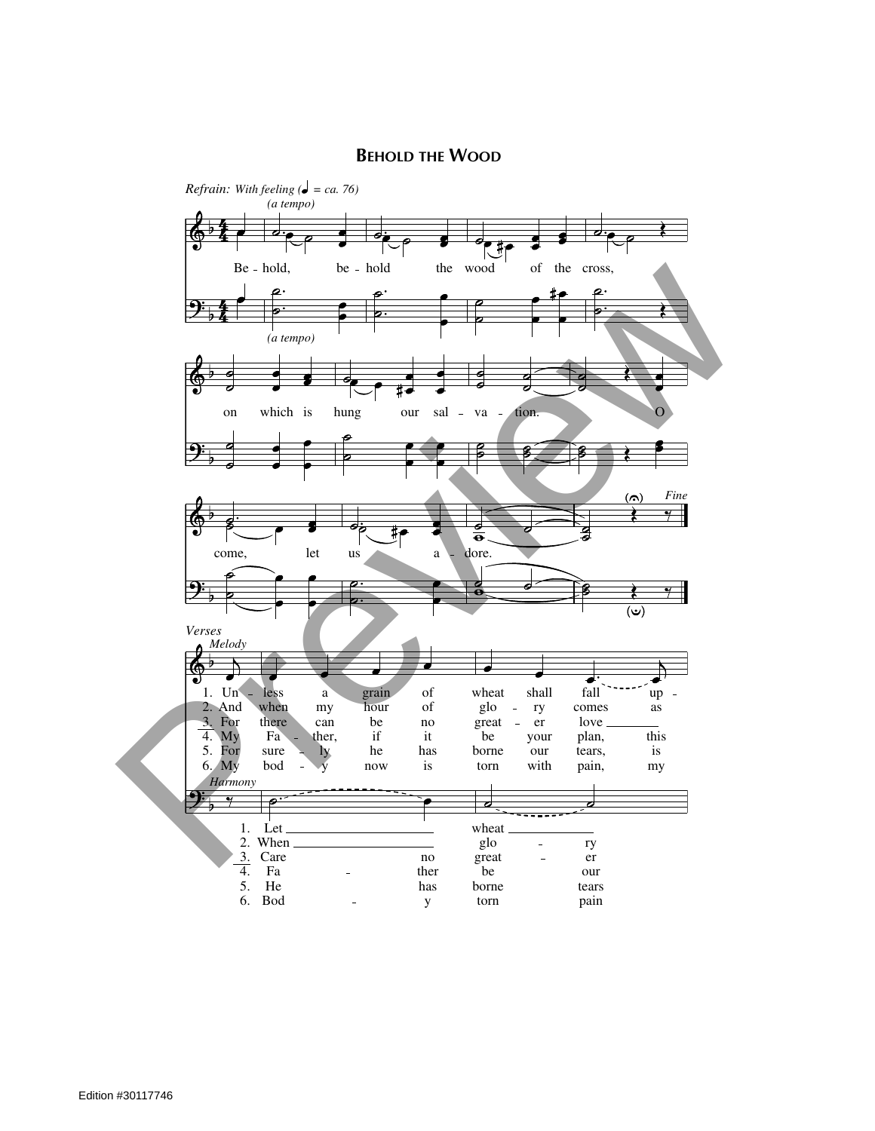## **BEHOLD THE WOOD**